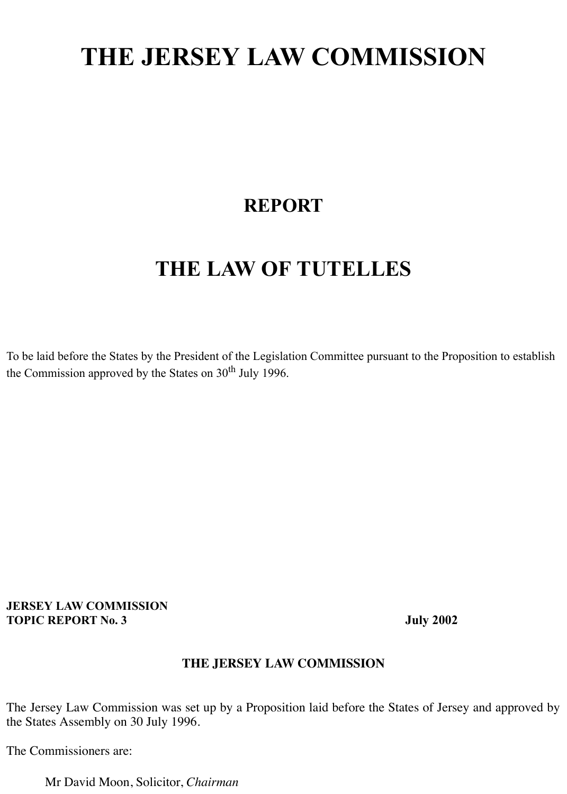# **THE JERSEY LAW COMMISSION**

## **REPORT**

## **THE LAW OF TUTELLES**

To be laid before the States by the President of the Legislation Committee pursuant to the Proposition to establish the Commission approved by the States on 30<sup>th</sup> July 1996.

#### **JERSEY LAW COMMISSION TOPIC REPORT No. 3** July 2002

## **THE JERSEY LAW COMMISSION**

The Jersey Law Commission was set up by a Proposition laid before the States of Jersey and approved by the States Assembly on 30 July 1996.

The Commissioners are:

Mr David Moon, Solicitor, *Chairman*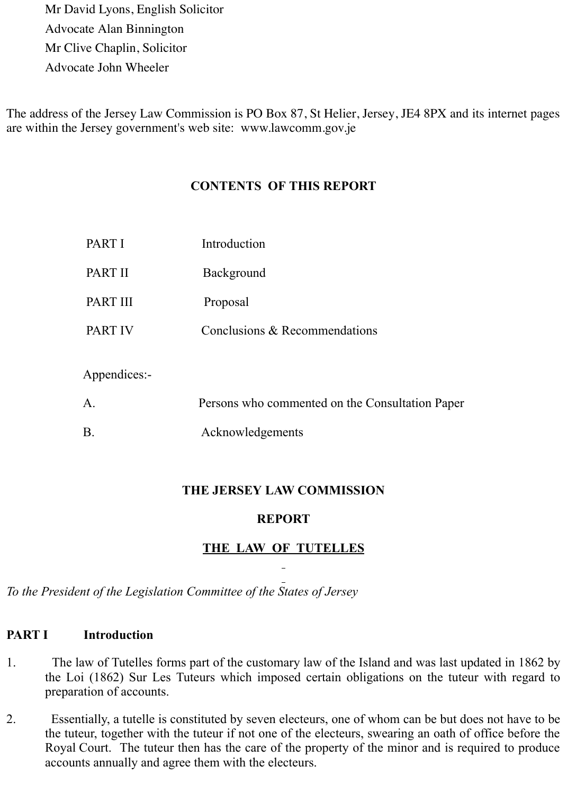Mr David Lyons, English Solicitor Advocate Alan Binnington Mr Clive Chaplin, Solicitor Advocate John Wheeler

The address of the Jersey Law Commission is PO Box 87, St Helier, Jersey, JE4 8PX and its internet pages are within the Jersey government's web site: www.lawcomm.gov.je

## **CONTENTS OF THIS REPORT**

| PART I         | Introduction                                    |
|----------------|-------------------------------------------------|
| PART II        | <b>Background</b>                               |
| PART III       | Proposal                                        |
| <b>PART IV</b> | Conclusions & Recommendations                   |
| Appendices:-   |                                                 |
| A.             | Persons who commented on the Consultation Paper |
| $B$ .          | Acknowledgements                                |

## **THE JERSEY LAW COMMISSION**

## **REPORT**

## **THE LAW OF TUTELLES**

*To the President of the Legislation Committee of the States of Jersey*

## **PART I** Introduction

- 1. The law of Tutelles forms part of the customary law of the Island and was last updated in 1862 by the Loi (1862) Sur Les Tuteurs which imposed certain obligations on the tuteur with regard to preparation of accounts.
- 2. Essentially, a tutelle is constituted by seven electeurs, one of whom can be but does not have to be the tuteur, together with the tuteur if not one of the electeurs, swearing an oath of office before the Royal Court. The tuteur then has the care of the property of the minor and is required to produce accounts annually and agree them with the electeurs.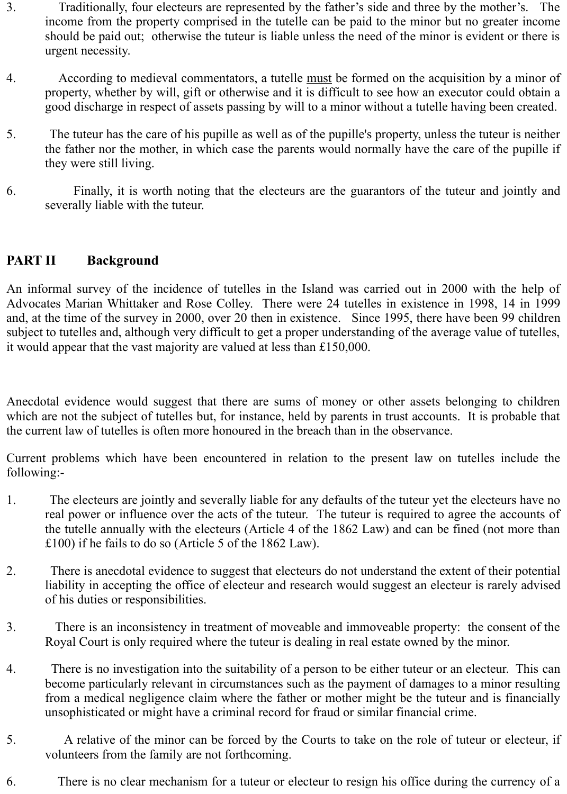- 3. Traditionally, four electeurs are represented by the father's side and three by the mother's. The income from the property comprised in the tutelle can be paid to the minor but no greater income should be paid out; otherwise the tuteur is liable unless the need of the minor is evident or there is urgent necessity.
- 4. According to medieval commentators, a tutelle must be formed on the acquisition by a minor of property, whether by will, gift or otherwise and it is difficult to see how an executor could obtain a good discharge in respect of assets passing by will to a minor without a tutelle having been created.
- 5. The tuteur has the care of his pupille as well as of the pupille's property, unless the tuteur is neither the father nor the mother, in which case the parents would normally have the care of the pupille if they were still living.
- 6. Finally, it is worth noting that the electeurs are the guarantors of the tuteur and jointly and severally liable with the tuteur.

## **PART II Background**

An informal survey of the incidence of tutelles in the Island was carried out in 2000 with the help of Advocates Marian Whittaker and Rose Colley. There were 24 tutelles in existence in 1998, 14 in 1999 and, at the time of the survey in 2000, over 20 then in existence. Since 1995, there have been 99 children subject to tutelles and, although very difficult to get a proper understanding of the average value of tutelles, it would appear that the vast majority are valued at less than £150,000.

Anecdotal evidence would suggest that there are sums of money or other assets belonging to children which are not the subject of tutelles but, for instance, held by parents in trust accounts. It is probable that the current law of tutelles is often more honoured in the breach than in the observance.

Current problems which have been encountered in relation to the present law on tutelles include the following:-

- 1. The electeurs are jointly and severally liable for any defaults of the tuteur yet the electeurs have no real power or influence over the acts of the tuteur. The tuteur is required to agree the accounts of the tutelle annually with the electeurs (Article 4 of the 1862 Law) and can be fined (not more than £100) if he fails to do so (Article 5 of the 1862 Law).
- 2. There is anecdotal evidence to suggest that electeurs do not understand the extent of their potential liability in accepting the office of electeur and research would suggest an electeur is rarely advised of his duties or responsibilities.
- 3. There is an inconsistency in treatment of moveable and immoveable property: the consent of the Royal Court is only required where the tuteur is dealing in real estate owned by the minor.
- 4. There is no investigation into the suitability of a person to be either tuteur or an electeur. This can become particularly relevant in circumstances such as the payment of damages to a minor resulting from a medical negligence claim where the father or mother might be the tuteur and is financially unsophisticated or might have a criminal record for fraud or similar financial crime.
- 5. A relative of the minor can be forced by the Courts to take on the role of tuteur or electeur, if volunteers from the family are not forthcoming.
- 6. There is no clear mechanism for a tuteur or electeur to resign his office during the currency of a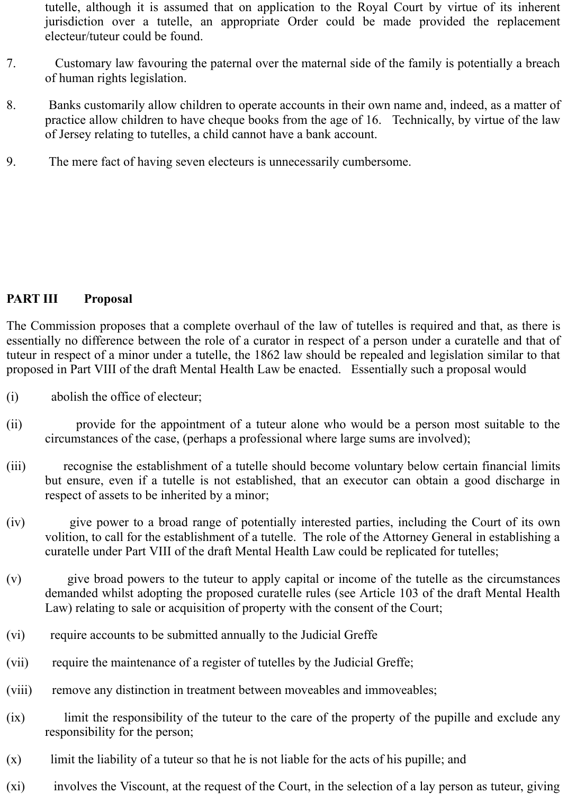tutelle, although it is assumed that on application to the Royal Court by virtue of its inherent jurisdiction over a tutelle, an appropriate Order could be made provided the replacement electeur/tuteur could be found.

- 7. Customary law favouring the paternal over the maternal side of the family is potentially a breach of human rights legislation.
- 8. Banks customarily allow children to operate accounts in their own name and, indeed, as a matter of practice allow children to have cheque books from the age of 16. Technically, by virtue of the law of Jersey relating to tutelles, a child cannot have a bank account.
- 9. The mere fact of having seven electeurs is unnecessarily cumbersome.

## **PART III Proposal**

The Commission proposes that a complete overhaul of the law of tutelles is required and that, as there is essentially no difference between the role of a curator in respect of a person under a curatelle and that of tuteur in respect of a minor under a tutelle, the 1862 law should be repealed and legislation similar to that proposed in Part VIII of the draft Mental Health Law be enacted. Essentially such a proposal would

- (i) abolish the office of electeur;
- (ii) provide for the appointment of a tuteur alone who would be a person most suitable to the circumstances of the case, (perhaps a professional where large sums are involved);
- (iii) recognise the establishment of a tutelle should become voluntary below certain financial limits but ensure, even if a tutelle is not established, that an executor can obtain a good discharge in respect of assets to be inherited by a minor;
- (iv) give power to a broad range of potentially interested parties, including the Court of its own volition, to call for the establishment of a tutelle. The role of the Attorney General in establishing a curatelle under Part VIII of the draft Mental Health Law could be replicated for tutelles;
- (v) give broad powers to the tuteur to apply capital or income of the tutelle as the circumstances demanded whilst adopting the proposed curatelle rules (see Article 103 of the draft Mental Health Law) relating to sale or acquisition of property with the consent of the Court;
- (vi) require accounts to be submitted annually to the Judicial Greffe
- (vii) require the maintenance of a register of tutelles by the Judicial Greffe;
- (viii) remove any distinction in treatment between moveables and immoveables;
- (ix) limit the responsibility of the tuteur to the care of the property of the pupille and exclude any responsibility for the person;
- (x) limit the liability of a tuteur so that he is not liable for the acts of his pupille; and
- (xi) involves the Viscount, at the request of the Court, in the selection of a lay person as tuteur, giving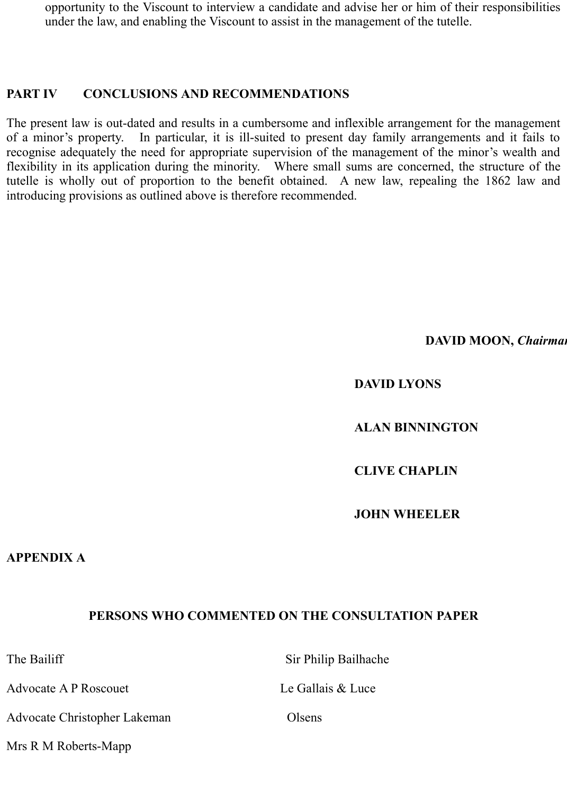opportunity to the Viscount to interview a candidate and advise her or him of their responsibilities under the law, and enabling the Viscount to assist in the management of the tutelle.

## **PART IV CONCLUSIONS AND RECOMMENDATIONS**

The present law is out-dated and results in a cumbersome and inflexible arrangement for the management of a minor's property. In particular, it is ill-suited to present day family arrangements and it fails to recognise adequately the need for appropriate supervision of the management of the minor's wealth and flexibility in its application during the minority. Where small sums are concerned, the structure of the tutelle is wholly out of proportion to the benefit obtained. A new law, repealing the 1862 law and introducing provisions as outlined above is therefore recommended.

#### **DAVID MOON,** *Chairman*

## **DAVID LYONS**

## **ALAN BINNINGTON**

## **CLIVE CHAPLIN**

#### **JOHN WHEELER**

#### **APPENDIX A**

## **PERSONS WHO COMMENTED ON THE CONSULTATION PAPER**

The Bailiff Sir Philip Bailhache

Advocate A P Roscouet Le Gallais & Luce

Advocate Christopher Lakeman Olsens

Mrs R M Roberts-Mapp